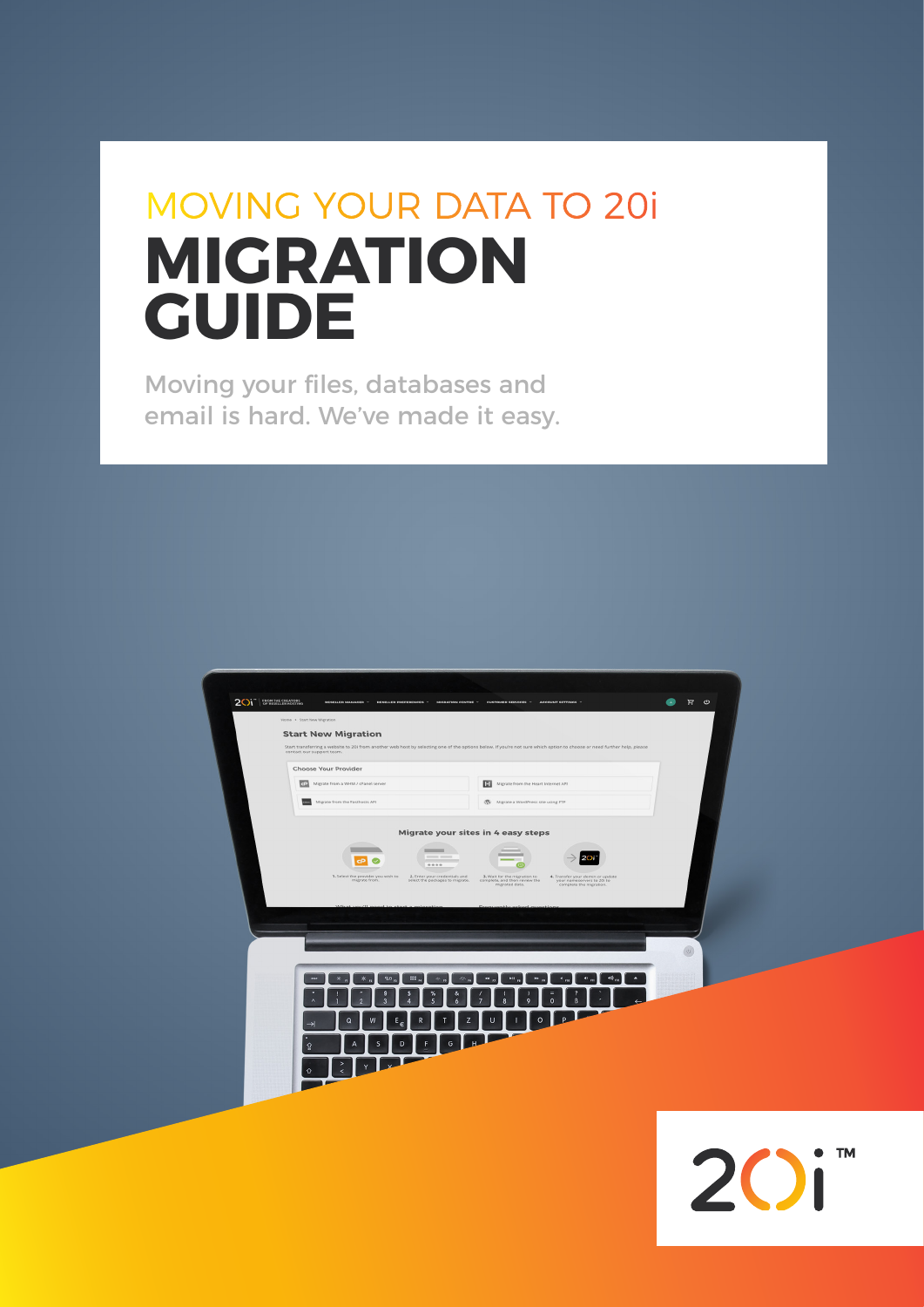# MOVING YOUR DATA TO 20i **MIGRATION GUIDE**

Moving your files, databases and email is hard. We've made it easy.



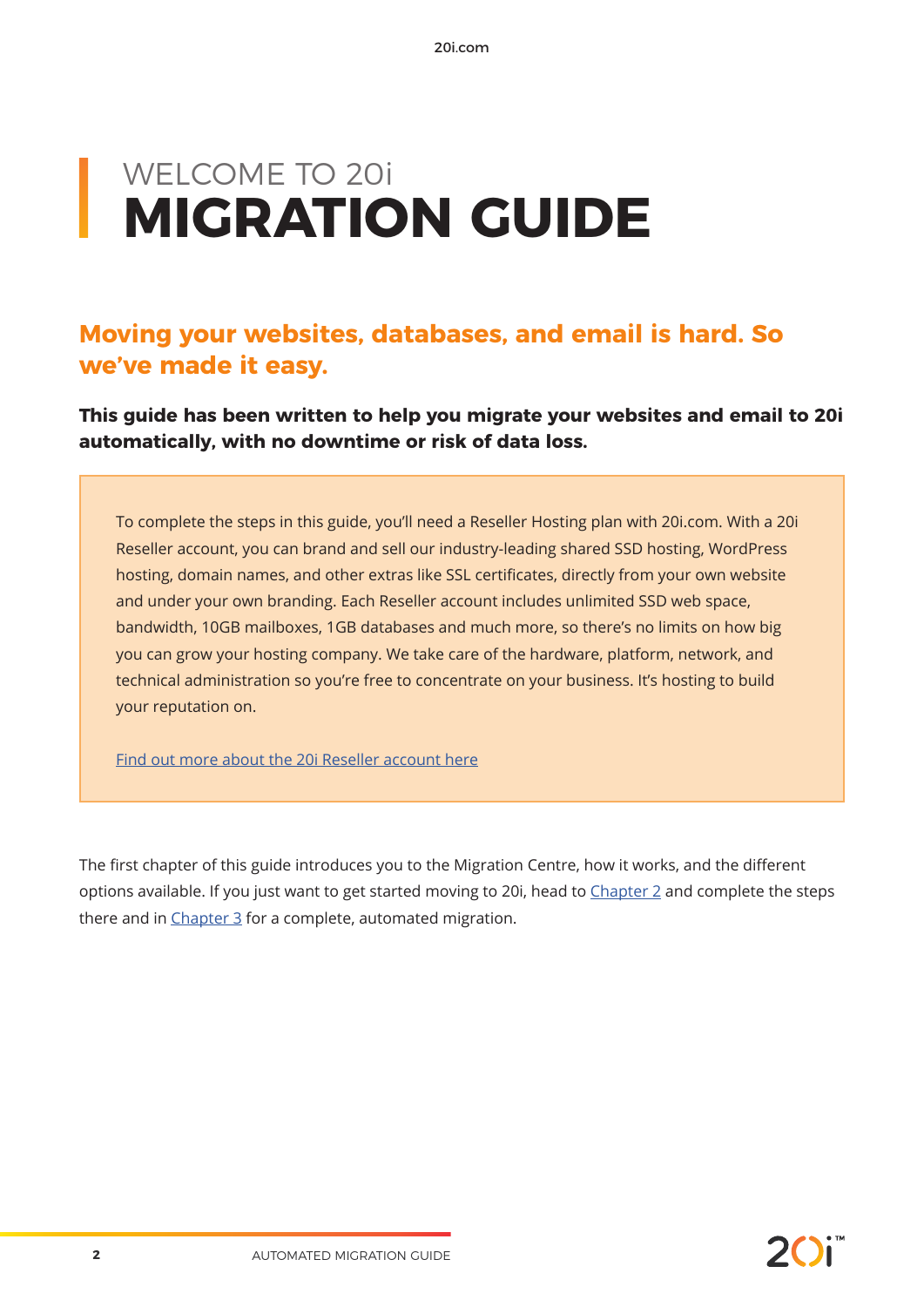# WELCOME TO 20i **MIGRATION GUIDE**

### **Moving your websites, databases, and email is hard. So we've made it easy.**

**This guide has been written to help you migrate your websites and email to 20i automatically, with no downtime or risk of data loss.** 

To complete the steps in this guide, you'll need a Reseller Hosting plan with 20i.com. With a 20i Reseller account, you can brand and sell our industry-leading shared SSD hosting, WordPress hosting, domain names, and other extras like SSL certificates, directly from your own website and under your own branding. Each Reseller account includes unlimited SSD web space, bandwidth, 10GB mailboxes, 1GB databases and much more, so there's no limits on how big you can grow your hosting company. We take care of the hardware, platform, network, and technical administration so you're free to concentrate on your business. It's hosting to build your reputation on.

Find out more about the 20i Reseller account here

The first chapter of this guide introduces you to the Migration Centre, how it works, and the different options available. If you just want to get started moving to 20i, head to Chapter 2 and complete the steps there and in Chapter 3 for a complete, automated migration.

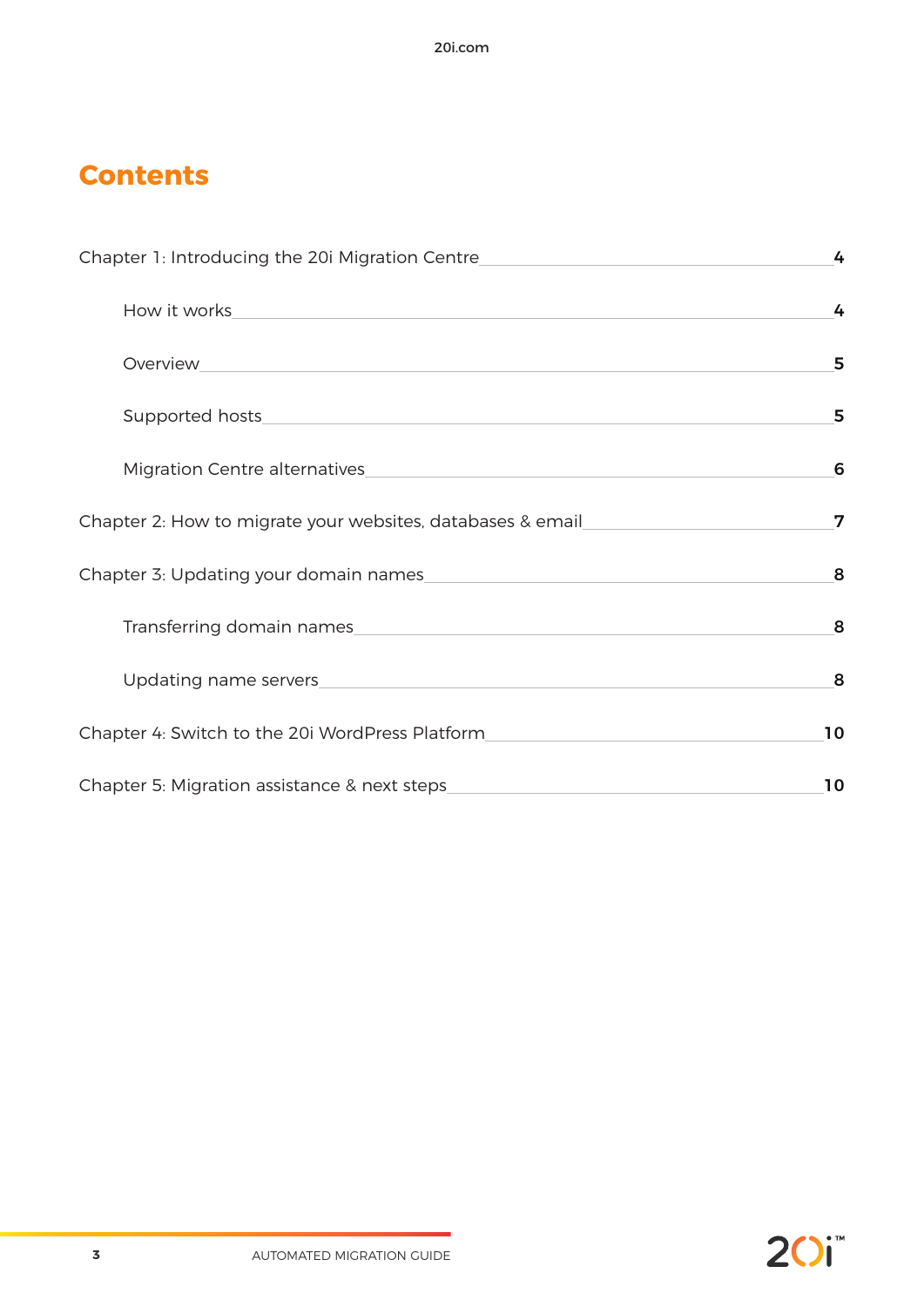## **Contents**

| Chapter 1: Introducing the 20i Migration Centre <b>Chapter 1: Introducing the 20i Migration Centre</b>                                                                                                                               | 4  |
|--------------------------------------------------------------------------------------------------------------------------------------------------------------------------------------------------------------------------------------|----|
| How it works <u>with a series of the series of the series of the series of the series of the series of the series of the series of the series of the series of the series of the series of the series of the series of the serie</u> | 4  |
| Overview<br><u> 1989 - Andrea State Barbara, amerikan personal di sebagai personal di sebagai personal di sebagai personal di</u>                                                                                                    | 5  |
|                                                                                                                                                                                                                                      | 5  |
| Migration Centre alternatives                                                                                                                                                                                                        | 6  |
| Chapter 2: How to migrate your websites, databases & email                                                                                                                                                                           | 7  |
| Chapter 3: Updating your domain names                                                                                                                                                                                                | 8  |
|                                                                                                                                                                                                                                      | 8  |
|                                                                                                                                                                                                                                      | 8  |
| Chapter 4: Switch to the 20i WordPress Platform<br><u> 1980 - Jan Stein Stein Stein Stein Stein Stein Stein Stein Stein Stein Stein Stein Stein Stein Stein Stein S</u>                                                              | 10 |
|                                                                                                                                                                                                                                      | 10 |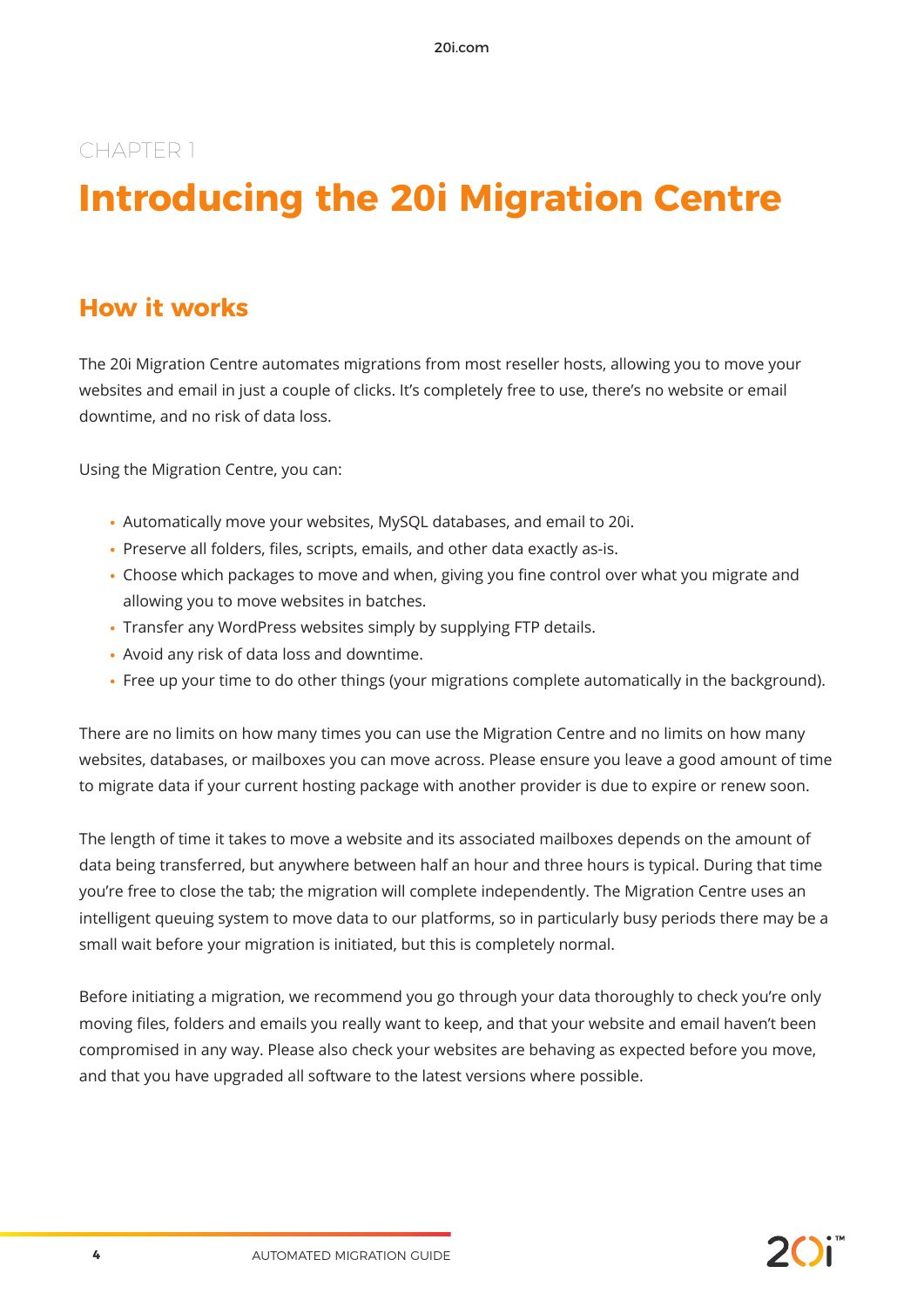## **Introducing the 20i Migration Centre**

## **How it works**

The 20i Migration Centre automates migrations from most reseller hosts, allowing you to move your websites and email in just a couple of clicks. It's completely free to use, there's no website or email downtime, and no risk of data loss.

Using the Migration Centre, you can:

- **•** Automatically move your websites, MySQL databases, and email to 20i.
- **•** Preserve all folders, files, scripts, emails, and other data exactly as-is.
- **•** Choose which packages to move and when, giving you fine control over what you migrate and allowing you to move websites in batches.
- **•** Transfer any WordPress websites simply by supplying FTP details.
- **•** Avoid any risk of data loss and downtime.
- **•** Free up your time to do other things (your migrations complete automatically in the background).

There are no limits on how many times you can use the Migration Centre and no limits on how many websites, databases, or mailboxes you can move across. Please ensure you leave a good amount of time to migrate data if your current hosting package with another provider is due to expire or renew soon.

The length of time it takes to move a website and its associated mailboxes depends on the amount of data being transferred, but anywhere between half an hour and three hours is typical. During that time you're free to close the tab; the migration will complete independently. The Migration Centre uses an intelligent queuing system to move data to our platforms, so in particularly busy periods there may be a small wait before your migration is initiated, but this is completely normal.

Before initiating a migration, we recommend you go through your data thoroughly to check you're only moving files, folders and emails you really want to keep, and that your website and email haven't been compromised in any way. Please also check your websites are behaving as expected before you move, and that you have upgraded all software to the latest versions where possible.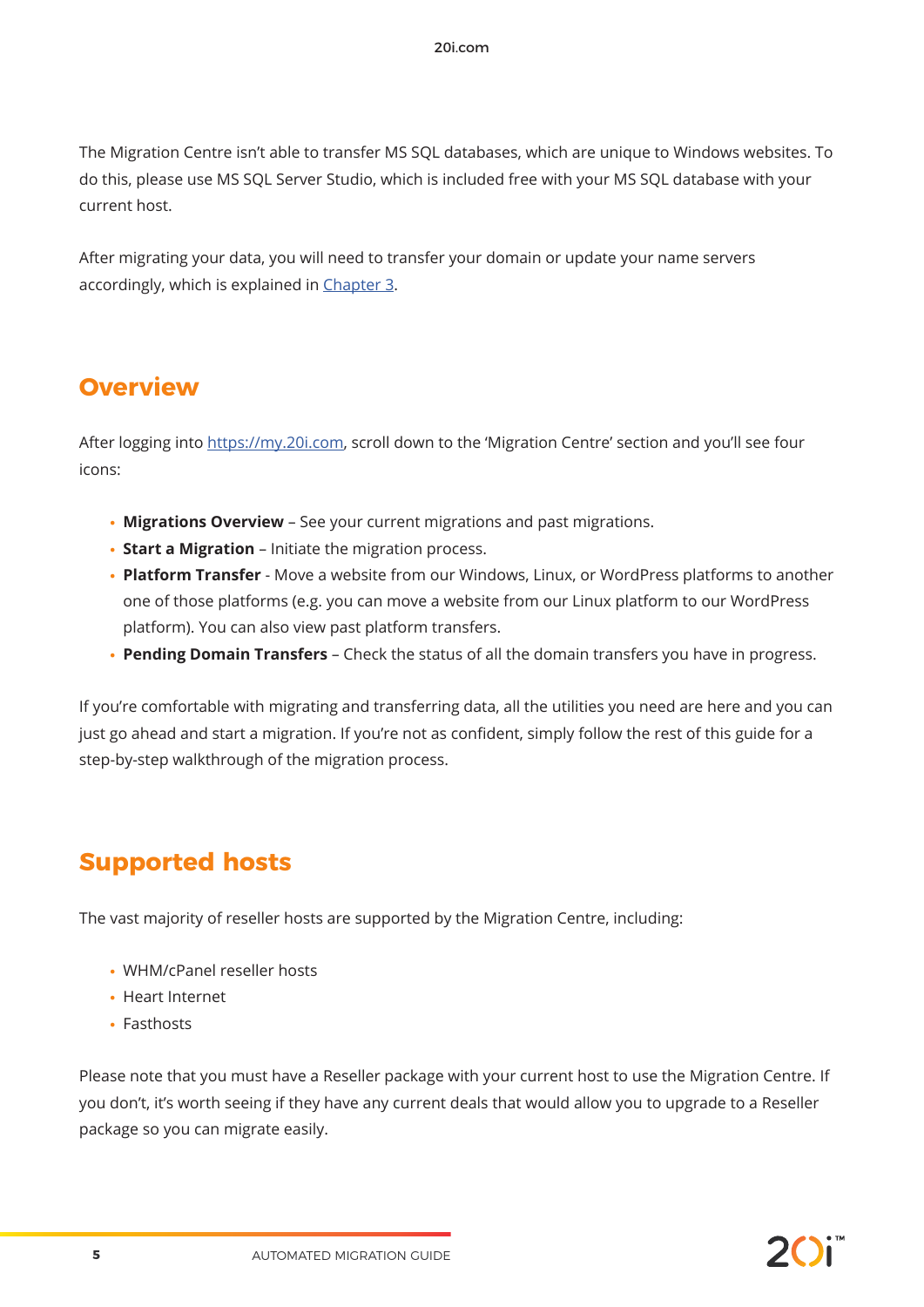The Migration Centre isn't able to transfer MS SQL databases, which are unique to Windows websites. To do this, please use MS SQL Server Studio, which is included free with your MS SQL database with your current host.

After migrating your data, you will need to transfer your domain or update your name servers accordingly, which is explained in Chapter 3.

### **Overview**

After logging into https://my.20i.com, scroll down to the 'Migration Centre' section and you'll see four icons:

- **• Migrations Overview** See your current migrations and past migrations.
- **• Start a Migration** Initiate the migration process.
- **• Platform Transfer** Move a website from our Windows, Linux, or WordPress platforms to another one of those platforms (e.g. you can move a website from our Linux platform to our WordPress platform). You can also view past platform transfers.
- **• Pending Domain Transfers** Check the status of all the domain transfers you have in progress.

If you're comfortable with migrating and transferring data, all the utilities you need are here and you can just go ahead and start a migration. If you're not as confident, simply follow the rest of this guide for a step-by-step walkthrough of the migration process.

## **Supported hosts**

The vast majority of reseller hosts are supported by the Migration Centre, including:

- **•** WHM/cPanel reseller hosts
- **•** Heart Internet
- **•** Fasthosts

Please note that you must have a Reseller package with your current host to use the Migration Centre. If you don't, it's worth seeing if they have any current deals that would allow you to upgrade to a Reseller package so you can migrate easily.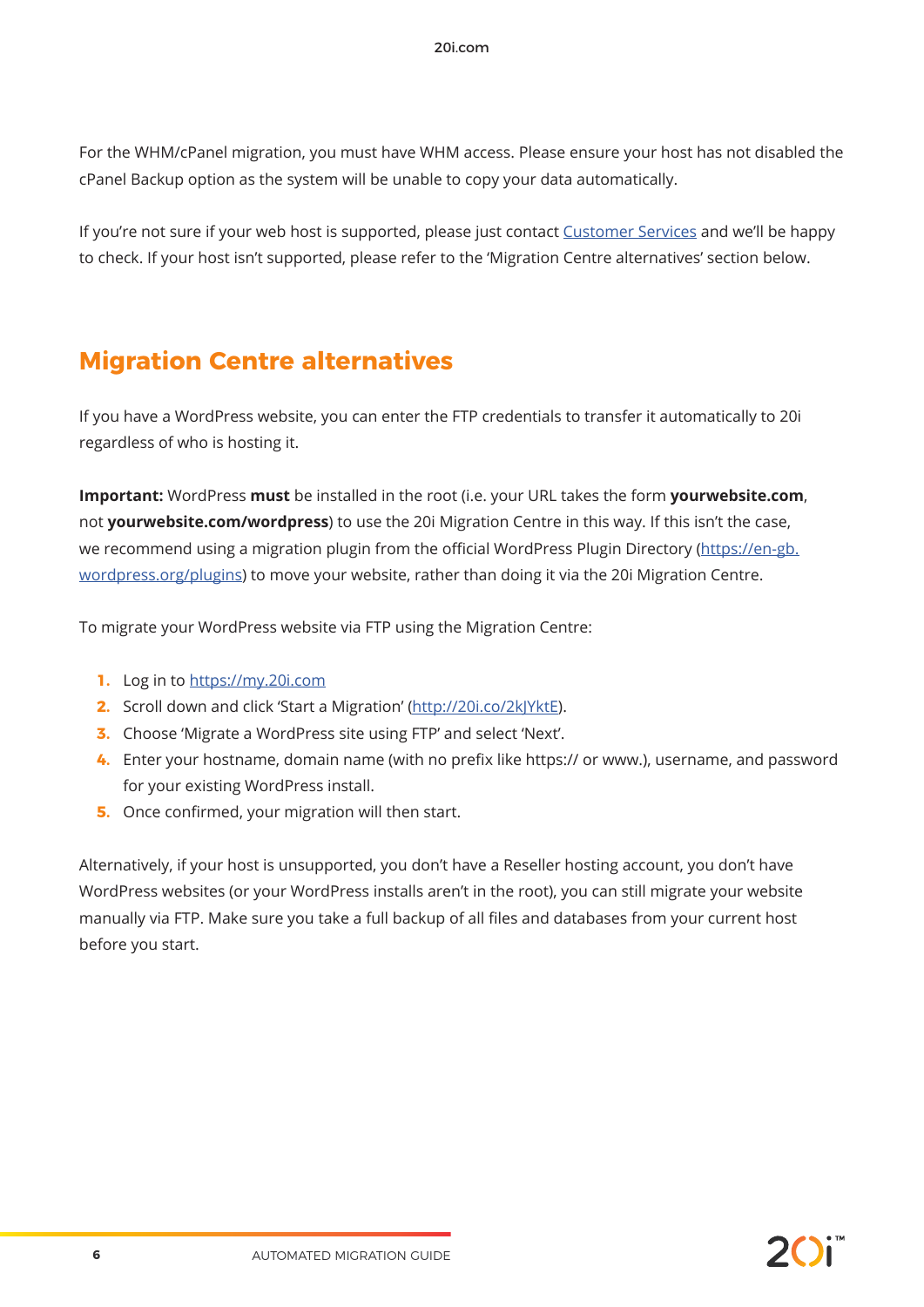For the WHM/cPanel migration, you must have WHM access. Please ensure your host has not disabled the cPanel Backup option as the system will be unable to copy your data automatically.

If you're not sure if your web host is supported, please just contact Customer Services and we'll be happy to check. If your host isn't supported, please refer to the 'Migration Centre alternatives' section below.

## **Migration Centre alternatives**

If you have a WordPress website, you can enter the FTP credentials to transfer it automatically to 20i regardless of who is hosting it.

**Important:** WordPress **must** be installed in the root (i.e. your URL takes the form **yourwebsite.com**, not **yourwebsite.com/wordpress**) to use the 20i Migration Centre in this way. If this isn't the case, we recommend using a migration plugin from the official WordPress Plugin Directory (https://en-gb. wordpress.org/plugins) to move your website, rather than doing it via the 20i Migration Centre.

To migrate your WordPress website via FTP using the Migration Centre:

- **1.** Log in to https://my.20i.com
- **2.** Scroll down and click 'Start a Migration' (http://20i.co/2kJYktE).
- **3.** Choose 'Migrate a WordPress site using FTP' and select 'Next'.
- **4.** Enter your hostname, domain name (with no prefix like https:// or www.), username, and password for your existing WordPress install.
- **5.** Once confirmed, your migration will then start.

Alternatively, if your host is unsupported, you don't have a Reseller hosting account, you don't have WordPress websites (or your WordPress installs aren't in the root), you can still migrate your website manually via FTP. Make sure you take a full backup of all files and databases from your current host before you start.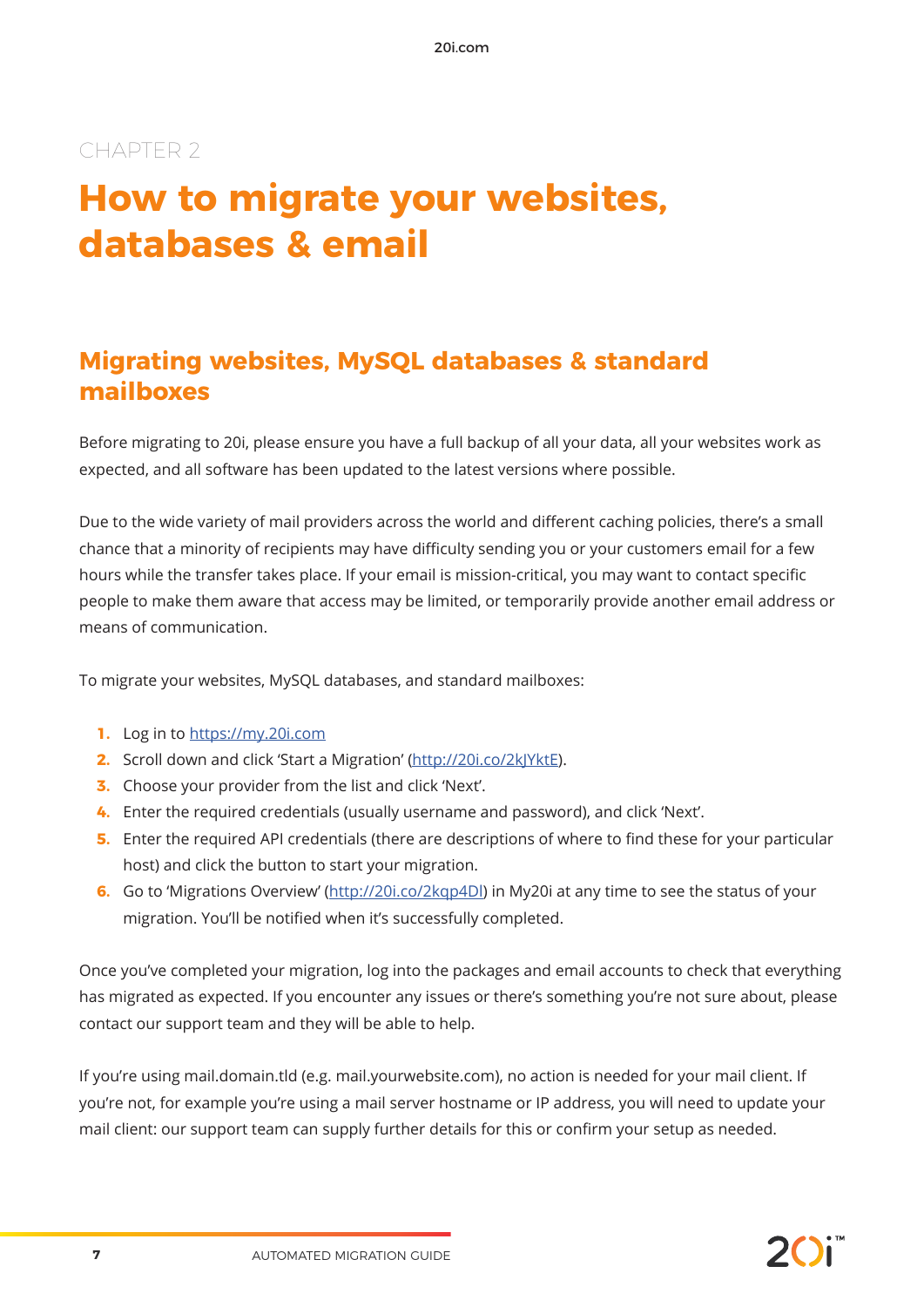## **How to migrate your websites, databases & email**

## **Migrating websites, MySQL databases & standard mailboxes**

Before migrating to 20i, please ensure you have a full backup of all your data, all your websites work as expected, and all software has been updated to the latest versions where possible.

Due to the wide variety of mail providers across the world and different caching policies, there's a small chance that a minority of recipients may have difficulty sending you or your customers email for a few hours while the transfer takes place. If your email is mission-critical, you may want to contact specific people to make them aware that access may be limited, or temporarily provide another email address or means of communication.

To migrate your websites, MySQL databases, and standard mailboxes:

- **1.** Log in to https://my.20i.com
- **2.** Scroll down and click 'Start a Migration' (http://20i.co/2kJYktE).
- **3.** Choose your provider from the list and click 'Next'.
- **4.** Enter the required credentials (usually username and password), and click 'Next'.
- **5.** Enter the required API credentials (there are descriptions of where to find these for your particular host) and click the button to start your migration.
- **6.** Go to 'Migrations Overview' (http://20i.co/2kqp4Dl) in My20i at any time to see the status of your migration. You'll be notified when it's successfully completed.

Once you've completed your migration, log into the packages and email accounts to check that everything has migrated as expected. If you encounter any issues or there's something you're not sure about, please contact our support team and they will be able to help.

If you're using mail.domain.tld (e.g. mail.yourwebsite.com), no action is needed for your mail client. If you're not, for example you're using a mail server hostname or IP address, you will need to update your mail client: our support team can supply further details for this or confirm your setup as needed.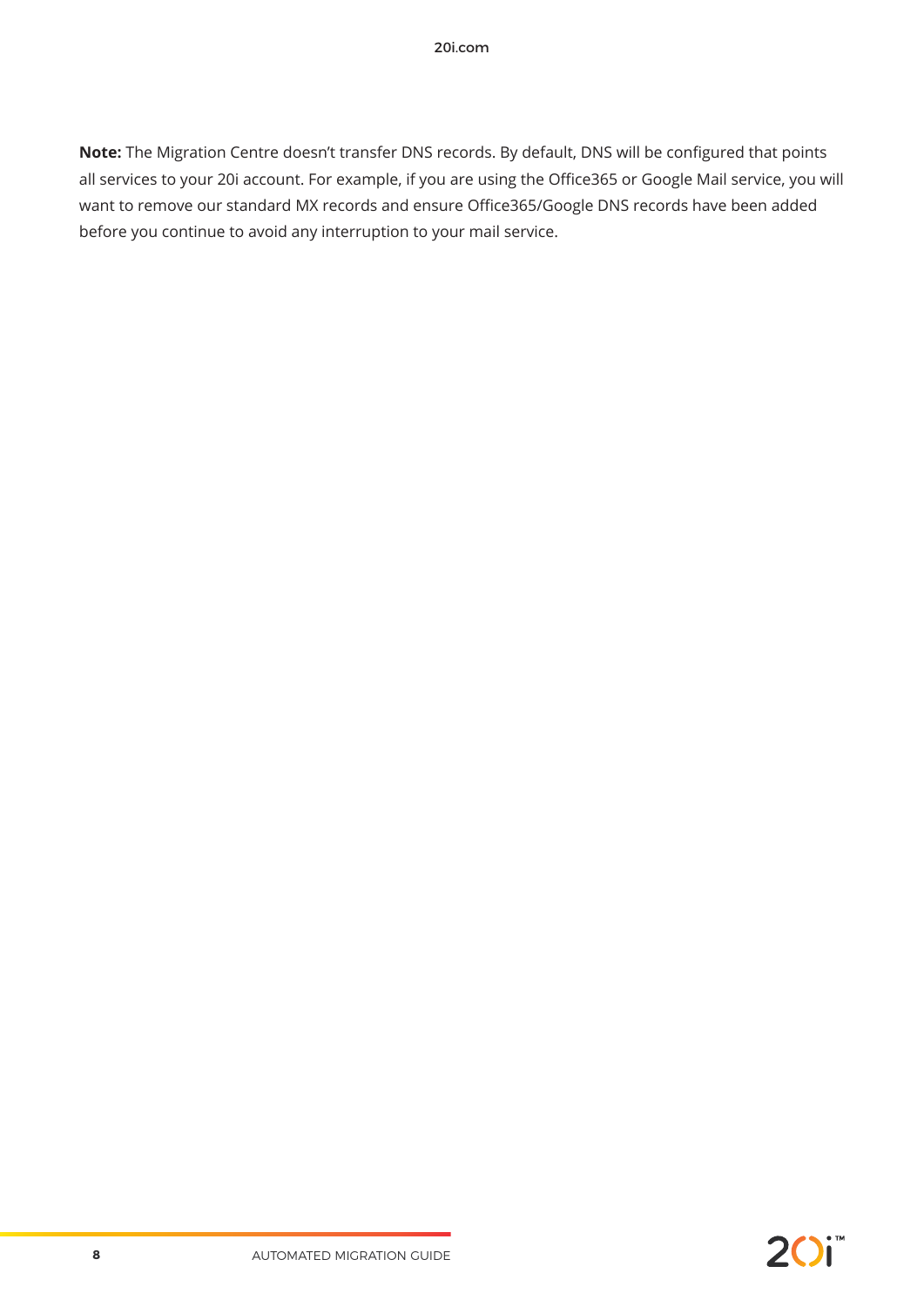**Note:** The Migration Centre doesn't transfer DNS records. By default, DNS will be configured that points all services to your 20i account. For example, if you are using the Office365 or Google Mail service, you will want to remove our standard MX records and ensure Office365/Google DNS records have been added before you continue to avoid any interruption to your mail service.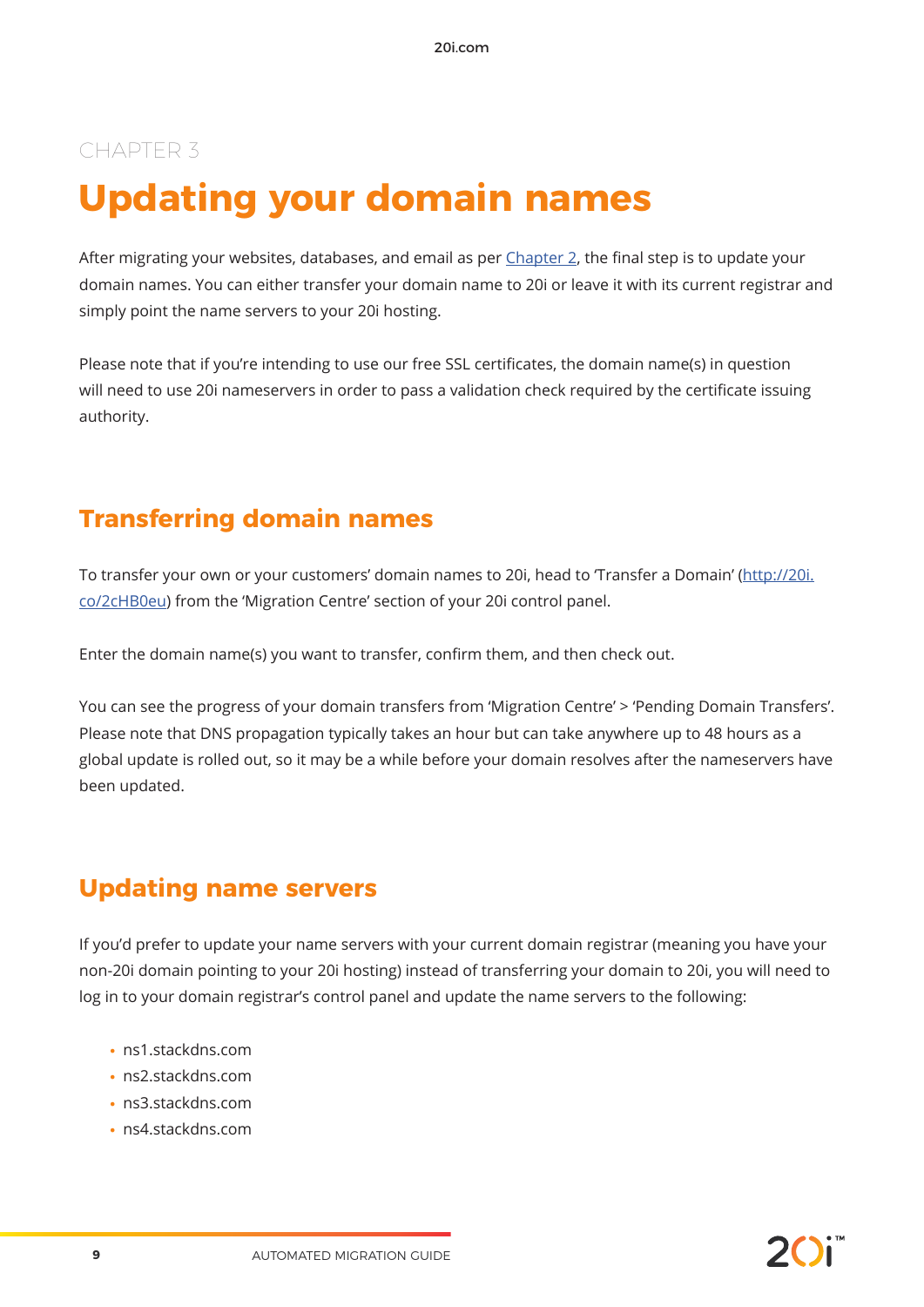## **Updating your domain names**

After migrating your websites, databases, and email as per Chapter 2, the final step is to update your domain names. You can either transfer your domain name to 20i or leave it with its current registrar and simply point the name servers to your 20i hosting.

Please note that if you're intending to use our free SSL certificates, the domain name(s) in question will need to use 20i nameservers in order to pass a validation check required by the certificate issuing authority.

### **Transferring domain names**

To transfer your own or your customers' domain names to 20i, head to 'Transfer a Domain' (http://20i. co/2cHB0eu) from the 'Migration Centre' section of your 20i control panel.

Enter the domain name(s) you want to transfer, confirm them, and then check out.

You can see the progress of your domain transfers from 'Migration Centre' > 'Pending Domain Transfers'. Please note that DNS propagation typically takes an hour but can take anywhere up to 48 hours as a global update is rolled out, so it may be a while before your domain resolves after the nameservers have been updated.

### **Updating name servers**

If you'd prefer to update your name servers with your current domain registrar (meaning you have your non-20i domain pointing to your 20i hosting) instead of transferring your domain to 20i, you will need to log in to your domain registrar's control panel and update the name servers to the following:

- **•** ns1.stackdns.com
- **•** ns2.stackdns.com
- **•** ns3.stackdns.com
- **•** ns4.stackdns.com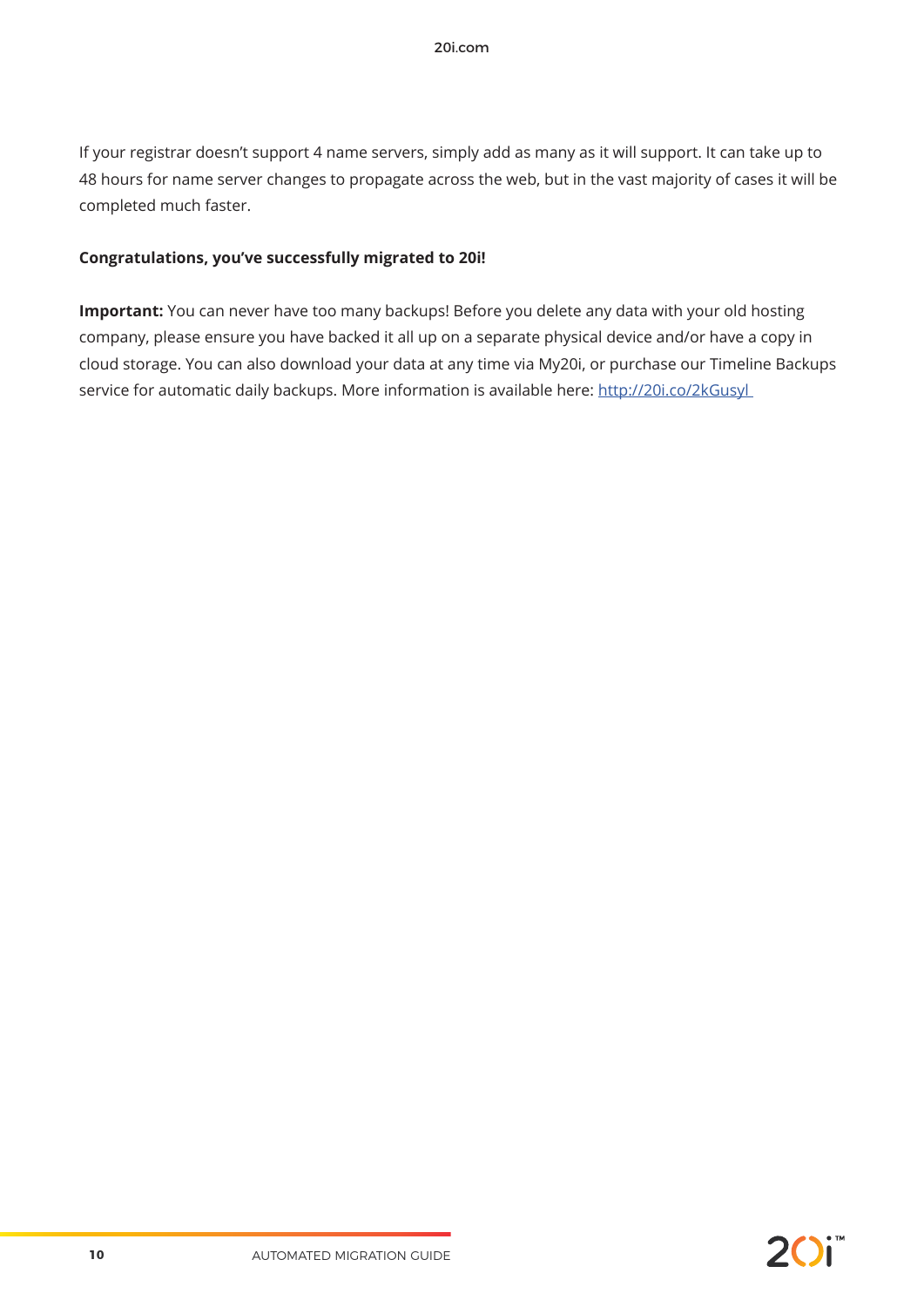If your registrar doesn't support 4 name servers, simply add as many as it will support. It can take up to 48 hours for name server changes to propagate across the web, but in the vast majority of cases it will be completed much faster.

#### **Congratulations, you've successfully migrated to 20i!**

**Important:** You can never have too many backups! Before you delete any data with your old hosting company, please ensure you have backed it all up on a separate physical device and/or have a copy in cloud storage. You can also download your data at any time via My20i, or purchase our Timeline Backups service for automatic daily backups. More information is available here: http://20i.co/2kGusyl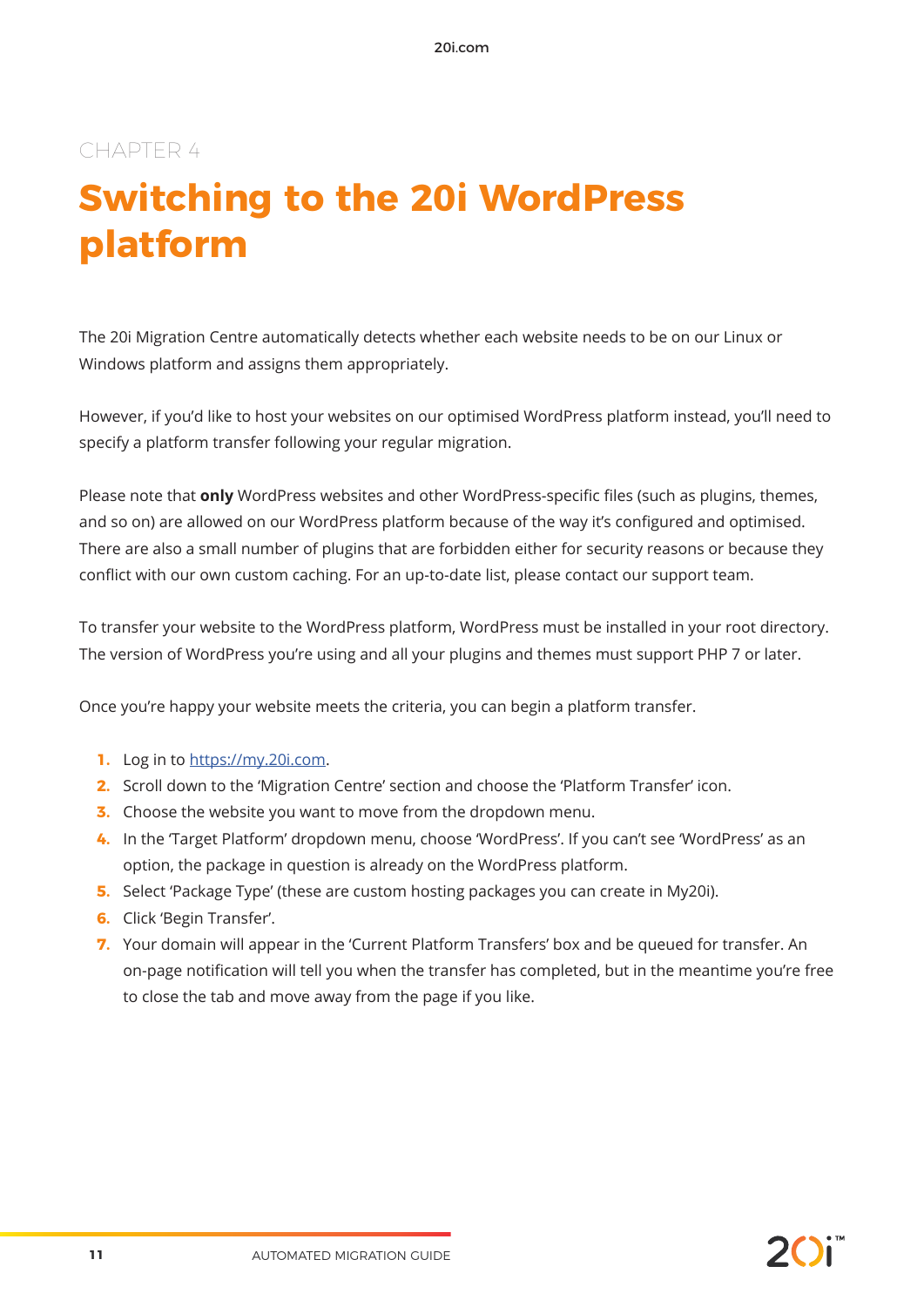## **Switching to the 20i WordPress platform**

The 20i Migration Centre automatically detects whether each website needs to be on our Linux or Windows platform and assigns them appropriately.

However, if you'd like to host your websites on our optimised WordPress platform instead, you'll need to specify a platform transfer following your regular migration.

Please note that **only** WordPress websites and other WordPress-specific files (such as plugins, themes, and so on) are allowed on our WordPress platform because of the way it's configured and optimised. There are also a small number of plugins that are forbidden either for security reasons or because they conflict with our own custom caching. For an up-to-date list, please contact our support team.

To transfer your website to the WordPress platform, WordPress must be installed in your root directory. The version of WordPress you're using and all your plugins and themes must support PHP 7 or later.

Once you're happy your website meets the criteria, you can begin a platform transfer.

- **1.** Log in to https://my.20i.com.
- **2.** Scroll down to the 'Migration Centre' section and choose the 'Platform Transfer' icon.
- **3.** Choose the website you want to move from the dropdown menu.
- **4.** In the 'Target Platform' dropdown menu, choose 'WordPress'. If you can't see 'WordPress' as an option, the package in question is already on the WordPress platform.
- **5.** Select 'Package Type' (these are custom hosting packages you can create in My20i).
- **6.** Click 'Begin Transfer'.
- **7.** Your domain will appear in the 'Current Platform Transfers' box and be queued for transfer. An on-page notification will tell you when the transfer has completed, but in the meantime you're free to close the tab and move away from the page if you like.